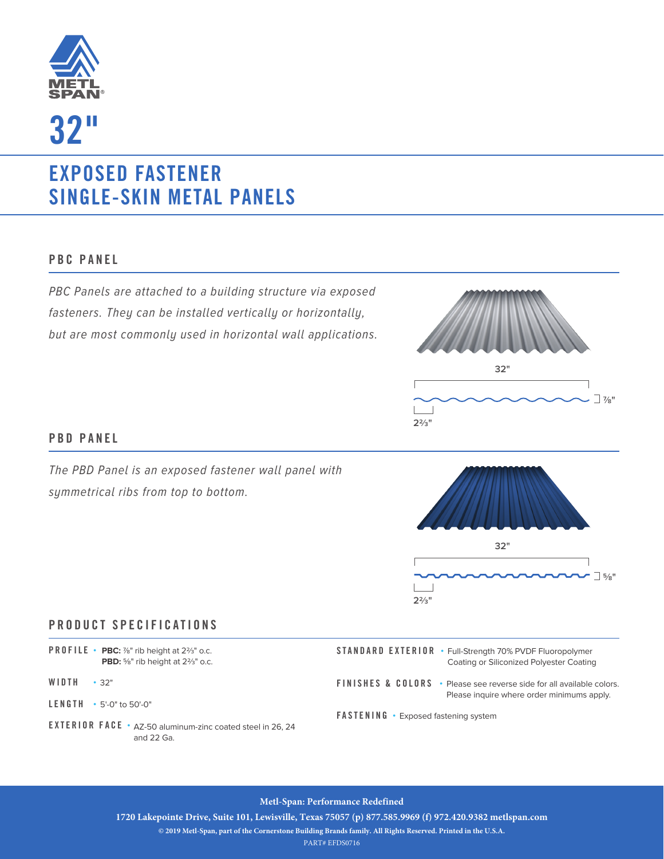

**32"**

# **EXPOSED FASTENER SINGLE-SKIN METAL PANELS**

### **PBC PANEL**

PBC Panels are attached to a building structure via exposed fasteners. They can be installed vertically or horizontally, but are most commonly used in horizontal wall applications.



#### **PBD PANEL**

The PBD Panel is an exposed fastener wall panel with symmetrical ribs from top to bottom.



### **PRODUCT SPECIFICATIONS**

| <b>PROFILE</b> • <b>PBC:</b> $\frac{7}{8}$ " rib height at 2%" o.c.                                                             | <b>STANDARD EXTERIOR • Full-Strength 70% PVDF Fluoropolymer</b>                                                                                                               |
|---------------------------------------------------------------------------------------------------------------------------------|-------------------------------------------------------------------------------------------------------------------------------------------------------------------------------|
| <b>PBD:</b> %" rib height at 2%" o.c.                                                                                           | Coating or Siliconized Polyester Coating                                                                                                                                      |
| WIDTH<br>$\cdot$ 32"<br>$LENGTH - 5'-0''$ to 50'-0"<br>EXTERIOR FACE • AZ-50 aluminum-zinc coated steel in 26, 24<br>and 22 Ga. | <b>FINISHES &amp; COLORS</b> • Please see reverse side for all available colors.<br>Please inquire where order minimums apply.<br><b>FASTENING</b> • Exposed fastening system |

#### **Metl-Span: Performance Redefined**

**1720 Lakepointe Drive, Suite 101, Lewisville, Texas 75057 (p) 877.585.9969 (f) 972.420.9382 metlspan.com** 

**© 2019 Metl-Span, part of the Cornerstone Building Brands family. All Rights Reserved. Printed in the U.S.A.**